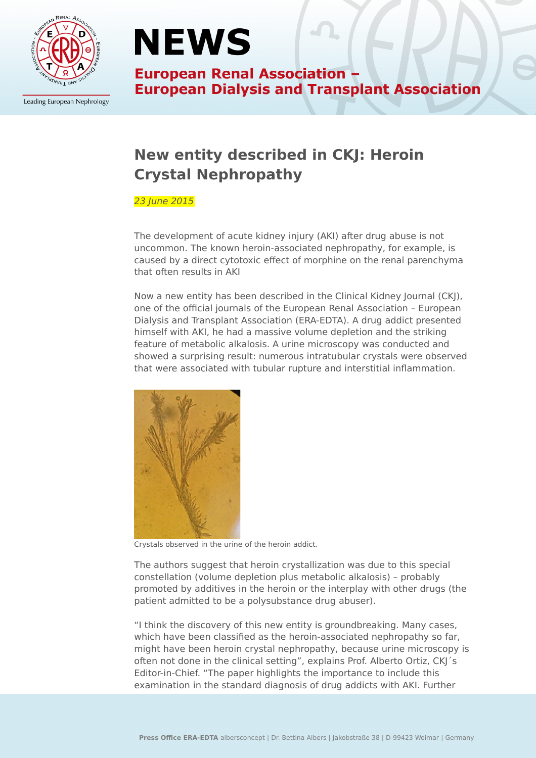

Leading European Nephrology

# **NEWS**

**European Renal Association -European Dialysis and Transplant Association** 

## **New entity described in CKJ: Heroin Crystal Nephropathy**

### 23 June 2015

The development of acute kidney injury (AKI) after drug abuse is not uncommon. The known heroin-associated nephropathy, for example, is caused by a direct cytotoxic effect of morphine on the renal parenchyma that often results in AKI

Now a new entity has been described in the Clinical Kidney Journal (CKJ), one of the official journals of the European Renal Association – European Dialysis and Transplant Association (ERA-EDTA). A drug addict presented himself with AKI, he had a massive volume depletion and the striking feature of metabolic alkalosis. A urine microscopy was conducted and showed a surprising result: numerous intratubular crystals were observed that were associated with tubular rupture and interstitial inflammation.



Crystals observed in the urine of the heroin addict.

The authors suggest that heroin crystallization was due to this special constellation (volume depletion plus metabolic alkalosis) – probably promoted by additives in the heroin or the interplay with other drugs (the patient admitted to be a polysubstance drug abuser).

"I think the discovery of this new entity is groundbreaking. Many cases, which have been classified as the heroin-associated nephropathy so far, might have been heroin crystal nephropathy, because urine microscopy is often not done in the clinical setting", explains Prof. Alberto Ortiz, CKJ´s Editor-in-Chief. "The paper highlights the importance to include this examination in the standard diagnosis of drug addicts with AKI. Further